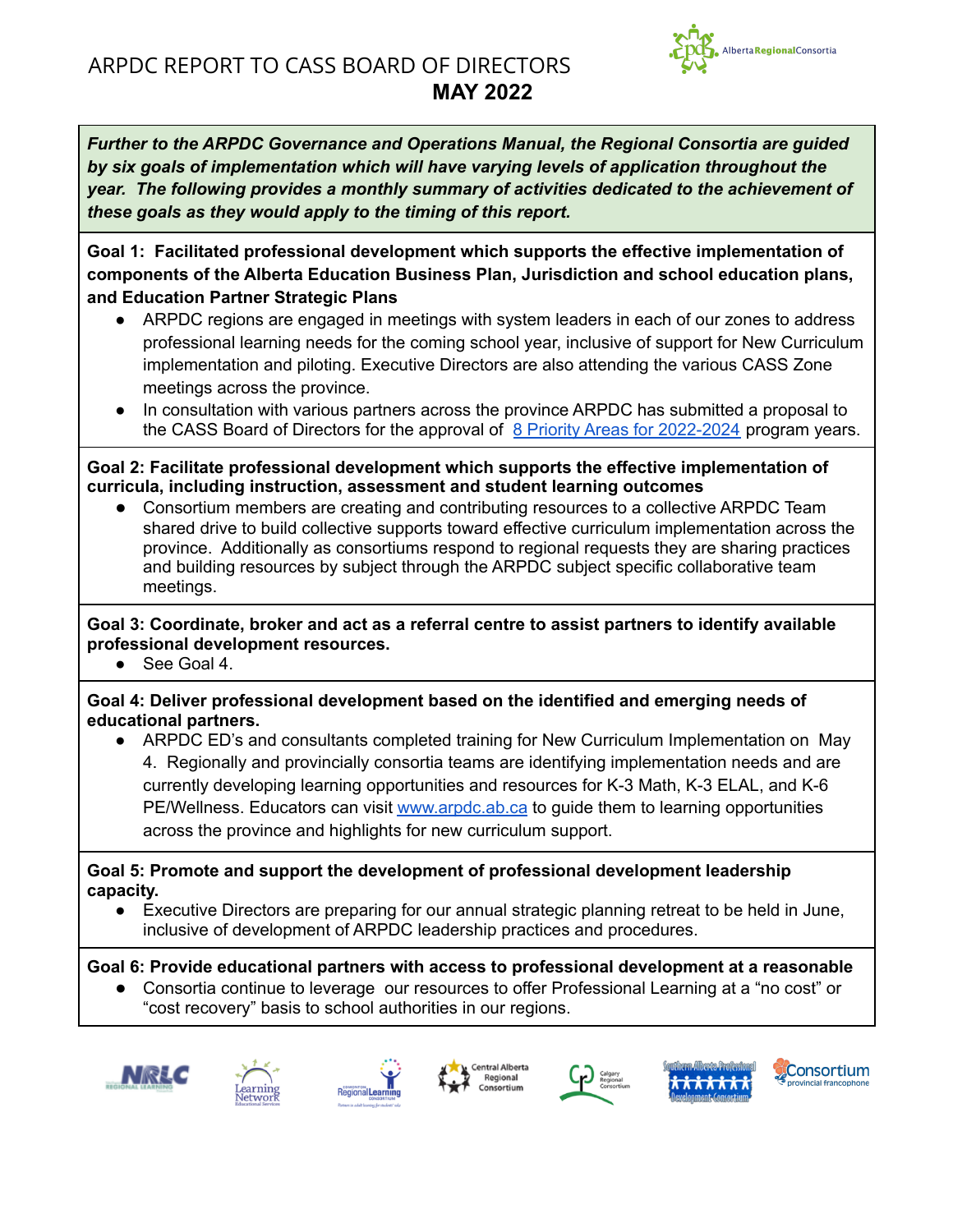

<span id="page-0-0"></span>**Goal 1: Facilitated professional development which supports the effective implementation of components of the Alberta Education Business Plan, Jurisdiction and school education plans, and Education Partner Strategic Plans**

- ARPDC regions are engaged in meetings with system leaders in each of our zones to address professional learning needs for the coming school year, inclusive of support for New Curriculum implementation and piloting. Executive Directors are also attending the various CASS Zone meetings across the province.
- In consultation with various partners across the province ARPDC has submitted a proposal to the CASS Board of Directors for the approval of 8 Priority Areas for [2022-2024](https://drive.google.com/file/d/1123ckGBi0aeTDm9ZNwJ1F47sTuuxm4xG/view?usp=sharing) program years.

**Goal 2: Facilitate professional development which supports the effective implementation of curricula, including instruction, assessment and student learning outcomes**

● Consortium members are creating and contributing resources to a collective ARPDC Team shared drive to build collective supports toward effective curriculum implementation across the province. Additionally as consortiums respond to regional requests they are sharing practices and building resources by subject through the ARPDC subject specific collaborative team meetings.

**Goal 3: Coordinate, broker and act as a referral centre to assist partners to identify available professional development resources.**

See Goal 4.

**Goal 4: Deliver professional development based on the identified and emerging needs of educational partners.**

**●** ARPDC ED's and consultants completed training for New Curriculum Implementation on May 4. Regionally and provincially consortia teams are identifying implementation needs and are currently developing learning opportunities and resources for K-3 Math, K-3 ELAL, and K-6 PE/Wellness. Educators can visit [www.arpdc.ab.ca](http://www.arpdc.ab.ca) to guide them to learning opportunities across the province and highlights for new curriculum support.

**Goal 5: Promote and support the development of professional development leadership capacity.**

● Executive Directors are preparing for our annual strategic planning retreat to be held in June, inclusive of development of ARPDC leadership practices and procedures.

**Goal 6: Provide educational partners with access to professional development at a reasonable**

Consortia continue to leverage our resources to offer Professional Learning at a "no cost" or "cost recovery" basis to school authorities in our regions.













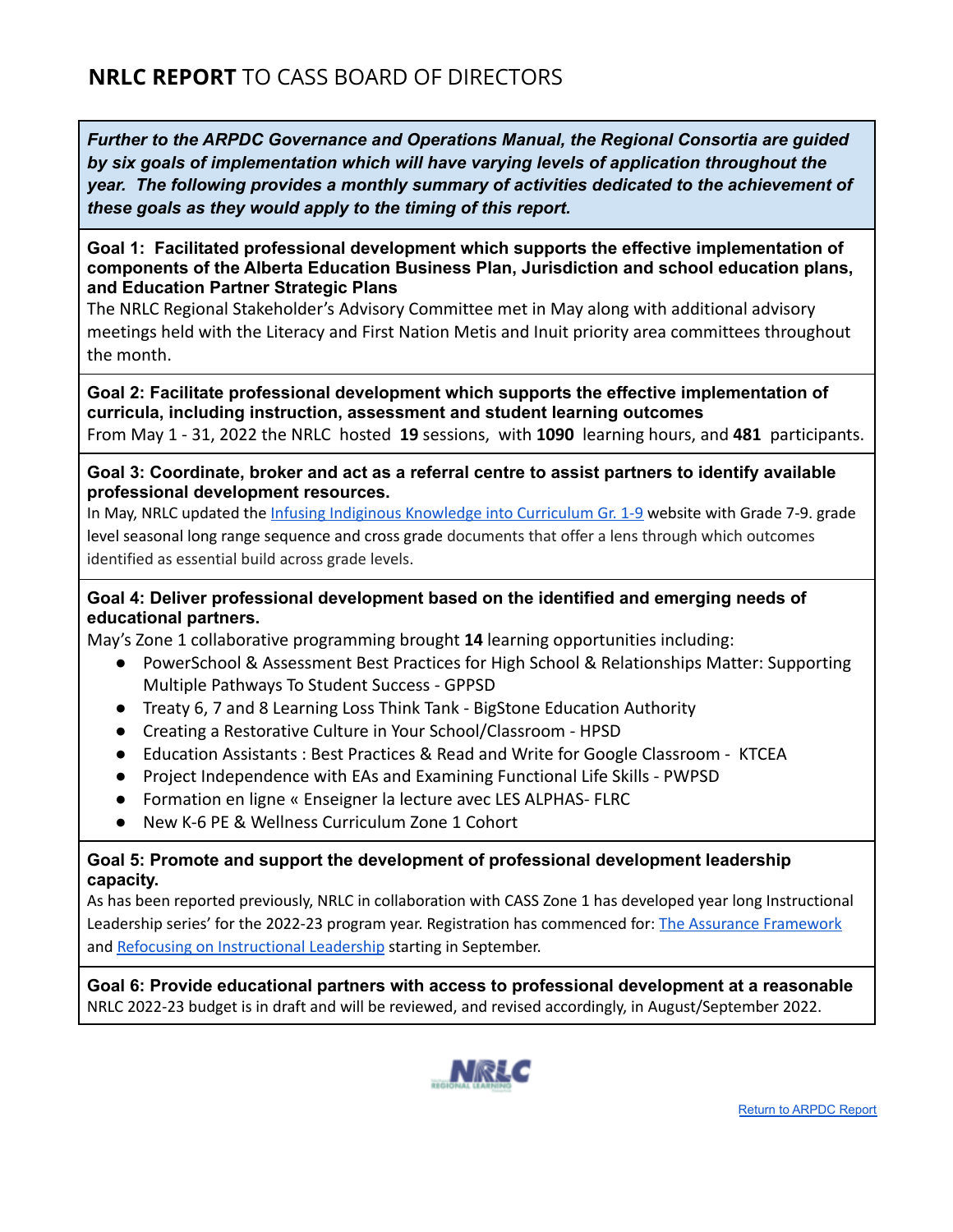#### **Goal 1: Facilitated professional development which supports the effective implementation of components of the Alberta Education Business Plan, Jurisdiction and school education plans, and Education Partner Strategic Plans**

The NRLC Regional Stakeholder's Advisory Committee met in May along with additional advisory meetings held with the Literacy and First Nation Metis and Inuit priority area committees throughout the month.

**Goal 2: Facilitate professional development which supports the effective implementation of curricula, including instruction, assessment and student learning outcomes** From May 1 - 31, 2022 the NRLC hosted **19** sessions, with **1090** learning hours, and **481** participants.

**Goal 3: Coordinate, broker and act as a referral centre to assist partners to identify available professional development resources.**

In May, NRLC updated the Infusing Indiginous Knowledge into [Curriculum](https://sites.google.com/arpdc.ab.ca/infusingindigenousknowledge) Gr. 1-9 website with Grade 7-9. grade level seasonal long range sequence and cross grade documents that offer a lens through which outcomes identified as essential build across grade levels.

# **Goal 4: Deliver professional development based on the identified and emerging needs of educational partners.**

May's Zone 1 collaborative programming brought **14** learning opportunities including:

- PowerSchool & Assessment Best Practices for High School & Relationships Matter: Supporting Multiple Pathways To Student Success - GPPSD
- Treaty 6, 7 and 8 Learning Loss Think Tank BigStone Education Authority
- Creating a Restorative Culture in Your School/Classroom HPSD
- Education Assistants : Best Practices & Read and Write for Google Classroom KTCEA
- Project Independence with EAs and Examining Functional Life Skills PWPSD
- Formation en ligne « Enseigner la lecture avec LES ALPHAS- FLRC
- New K-6 PF & Wellness Curriculum Zone 1 Cohort

# **Goal 5: Promote and support the development of professional development leadership capacity.**

As has been reported previously, NRLC in collaboration with CASS Zone 1 has developed year long Instructional Leadership series' for the 2022-23 program year. Registration has commenced for: The Assurance [Framework](https://nrlc.net/program/8677) and Refocusing on [Instructional](https://nrlc.net/program/8676) Leadership starting in September.

**Goal 6: Provide educational partners with access to professional development at a reasonable** NRLC 2022-23 budget is in draft and will be reviewed, and revised accordingly, in August/September 2022.

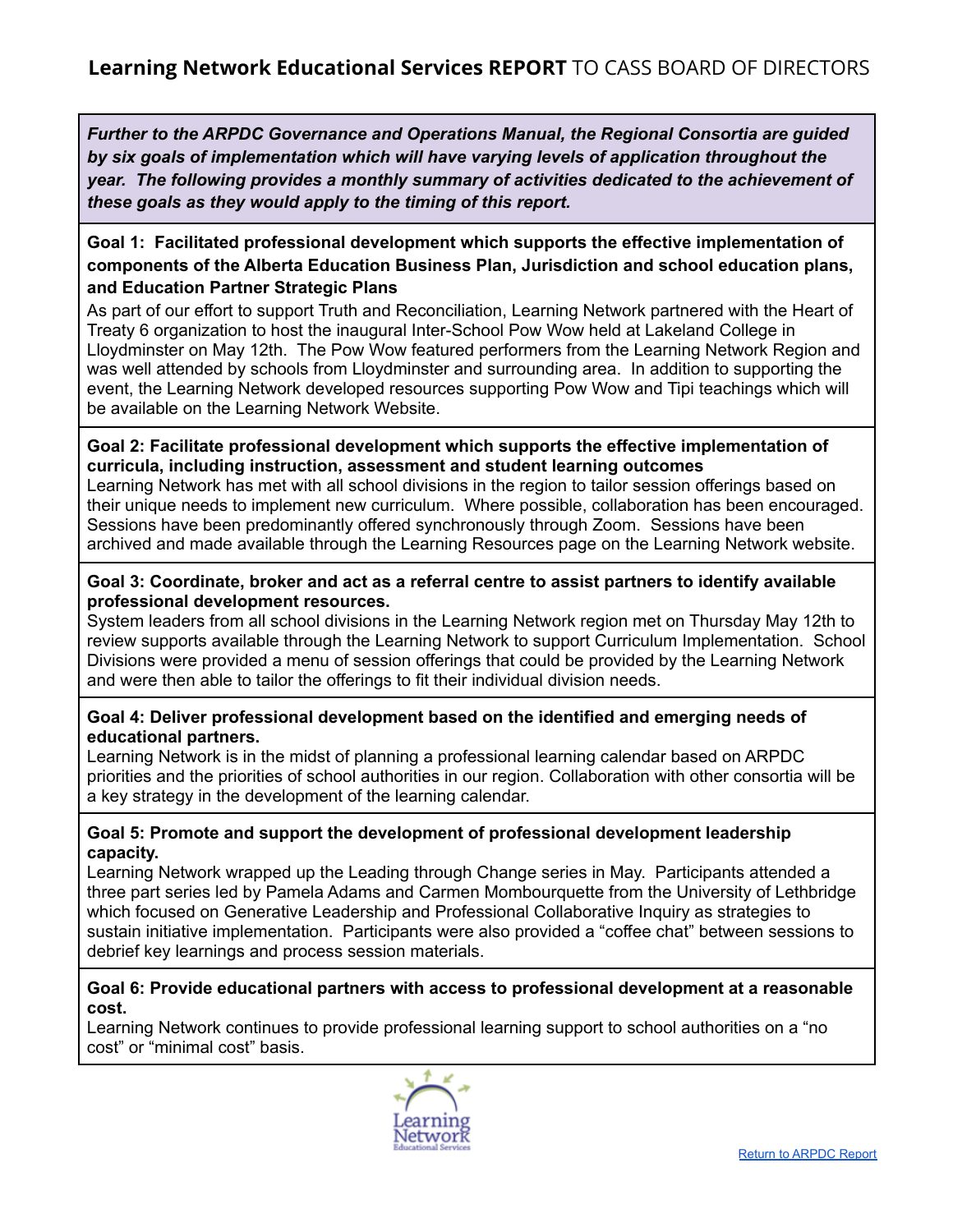# **Goal 1: Facilitated professional development which supports the effective implementation of components of the Alberta Education Business Plan, Jurisdiction and school education plans, and Education Partner Strategic Plans**

As part of our effort to support Truth and Reconciliation, Learning Network partnered with the Heart of Treaty 6 organization to host the inaugural Inter-School Pow Wow held at Lakeland College in Lloydminster on May 12th. The Pow Wow featured performers from the Learning Network Region and was well attended by schools from Lloydminster and surrounding area. In addition to supporting the event, the Learning Network developed resources supporting Pow Wow and Tipi teachings which will be available on the Learning Network Website.

# **Goal 2: Facilitate professional development which supports the effective implementation of curricula, including instruction, assessment and student learning outcomes**

Learning Network has met with all school divisions in the region to tailor session offerings based on their unique needs to implement new curriculum. Where possible, collaboration has been encouraged. Sessions have been predominantly offered synchronously through Zoom. Sessions have been archived and made available through the Learning Resources page on the Learning Network website.

## **Goal 3: Coordinate, broker and act as a referral centre to assist partners to identify available professional development resources.**

System leaders from all school divisions in the Learning Network region met on Thursday May 12th to review supports available through the Learning Network to support Curriculum Implementation. School Divisions were provided a menu of session offerings that could be provided by the Learning Network and were then able to tailor the offerings to fit their individual division needs.

# **Goal 4: Deliver professional development based on the identified and emerging needs of educational partners.**

Learning Network is in the midst of planning a professional learning calendar based on ARPDC priorities and the priorities of school authorities in our region. Collaboration with other consortia will be a key strategy in the development of the learning calendar.

## **Goal 5: Promote and support the development of professional development leadership capacity.**

Learning Network wrapped up the Leading through Change series in May. Participants attended a three part series led by Pamela Adams and Carmen Mombourquette from the University of Lethbridge which focused on Generative Leadership and Professional Collaborative Inquiry as strategies to sustain initiative implementation. Participants were also provided a "coffee chat" between sessions to debrief key learnings and process session materials.

## **Goal 6: Provide educational partners with access to professional development at a reasonable cost.**

Learning Network continues to provide professional learning support to school authorities on a "no cost" or "minimal cost" basis.

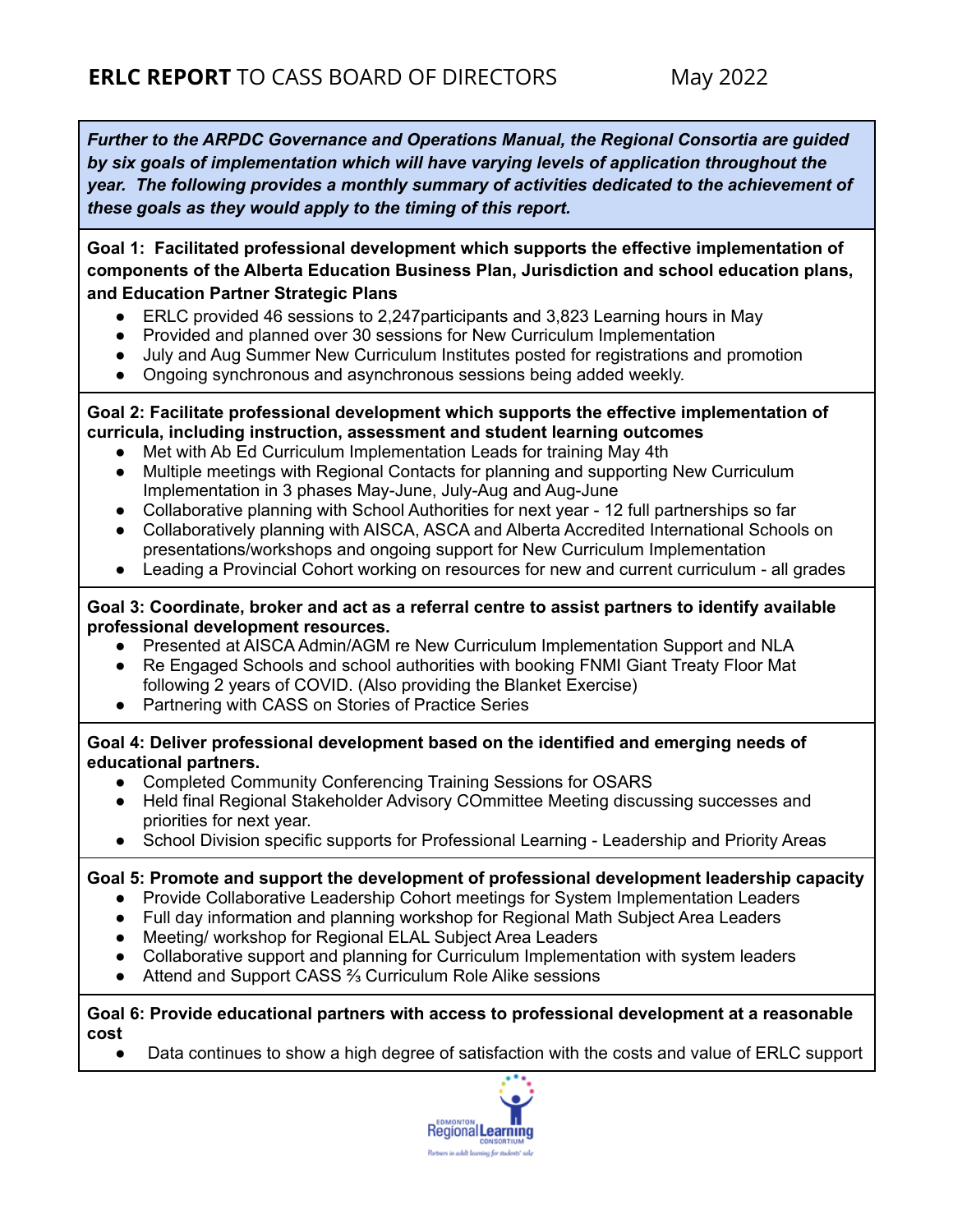**Goal 1: Facilitated professional development which supports the effective implementation of components of the Alberta Education Business Plan, Jurisdiction and school education plans, and Education Partner Strategic Plans**

- ERLC provided 46 sessions to 2,247participants and 3,823 Learning hours in May
- Provided and planned over 30 sessions for New Curriculum Implementation
- July and Aug Summer New Curriculum Institutes posted for registrations and promotion
- Ongoing synchronous and asynchronous sessions being added weekly.

#### **Goal 2: Facilitate professional development which supports the effective implementation of curricula, including instruction, assessment and student learning outcomes**

- Met with Ab Ed Curriculum Implementation Leads for training May 4th
- Multiple meetings with Regional Contacts for planning and supporting New Curriculum Implementation in 3 phases May-June, July-Aug and Aug-June
- Collaborative planning with School Authorities for next year 12 full partnerships so far
- Collaboratively planning with AISCA, ASCA and Alberta Accredited International Schools on presentations/workshops and ongoing support for New Curriculum Implementation
- Leading a Provincial Cohort working on resources for new and current curriculum all grades

## **Goal 3: Coordinate, broker and act as a referral centre to assist partners to identify available professional development resources.**

- Presented at AISCA Admin/AGM re New Curriculum Implementation Support and NLA
- Re Engaged Schools and school authorities with booking FNMI Giant Treaty Floor Mat following 2 years of COVID. (Also providing the Blanket Exercise)
- Partnering with CASS on Stories of Practice Series

## **Goal 4: Deliver professional development based on the identified and emerging needs of educational partners.**

- Completed Community Conferencing Training Sessions for OSARS
- Held final Regional Stakeholder Advisory COmmittee Meeting discussing successes and priorities for next year.
- School Division specific supports for Professional Learning Leadership and Priority Areas

## **Goal 5: Promote and support the development of professional development leadership capacity**

- Provide Collaborative Leadership Cohort meetings for System Implementation Leaders
- Full day information and planning workshop for Regional Math Subject Area Leaders
- Meeting/ workshop for Regional ELAL Subject Area Leaders
- Collaborative support and planning for Curriculum Implementation with system leaders
- Attend and Support CASS <sup>3</sup>% Curriculum Role Alike sessions

#### **Goal 6: Provide educational partners with access to professional development at a reasonable cost**

• Data continues to show a high degree of satisfaction with the costs and value of ERLC support

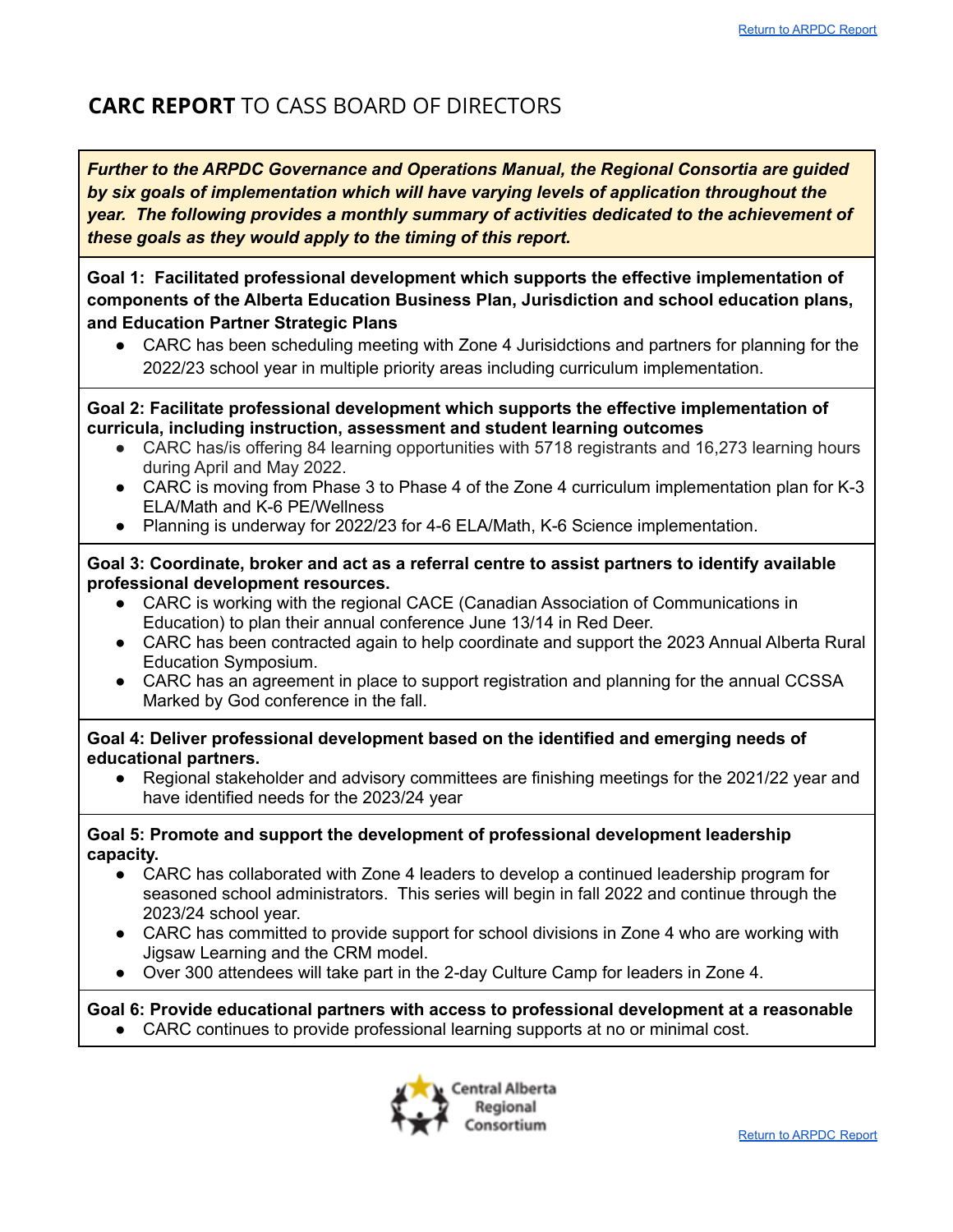# **CARC REPORT** TO CASS BOARD OF DIRECTORS

*Further to the ARPDC Governance and Operations Manual, the Regional Consortia are guided by six goals of implementation which will have varying levels of application throughout the year. The following provides a monthly summary of activities dedicated to the achievement of these goals as they would apply to the timing of this report.*

**Goal 1: Facilitated professional development which supports the effective implementation of components of the Alberta Education Business Plan, Jurisdiction and school education plans, and Education Partner Strategic Plans**

• CARC has been scheduling meeting with Zone 4 Jurisidctions and partners for planning for the 2022/23 school year in multiple priority areas including curriculum implementation.

**Goal 2: Facilitate professional development which supports the effective implementation of curricula, including instruction, assessment and student learning outcomes**

- CARC has/is offering 84 learning opportunities with 5718 registrants and 16,273 learning hours during April and May 2022.
- CARC is moving from Phase 3 to Phase 4 of the Zone 4 curriculum implementation plan for K-3 ELA/Math and K-6 PE/Wellness
- Planning is underway for 2022/23 for 4-6 ELA/Math, K-6 Science implementation.

#### **Goal 3: Coordinate, broker and act as a referral centre to assist partners to identify available professional development resources.**

- CARC is working with the regional CACE (Canadian Association of Communications in Education) to plan their annual conference June 13/14 in Red Deer.
- CARC has been contracted again to help coordinate and support the 2023 Annual Alberta Rural Education Symposium.
- CARC has an agreement in place to support registration and planning for the annual CCSSA Marked by God conference in the fall.

**Goal 4: Deliver professional development based on the identified and emerging needs of educational partners.**

**●** Regional stakeholder and advisory committees are finishing meetings for the 2021/22 year and have identified needs for the 2023/24 year

## **Goal 5: Promote and support the development of professional development leadership capacity.**

- CARC has collaborated with Zone 4 leaders to develop a continued leadership program for seasoned school administrators. This series will begin in fall 2022 and continue through the 2023/24 school year.
- CARC has committed to provide support for school divisions in Zone 4 who are working with Jigsaw Learning and the CRM model.
- Over 300 attendees will take part in the 2-day Culture Camp for leaders in Zone 4.

**Goal 6: Provide educational partners with access to professional development at a reasonable** ● CARC continues to provide professional learning supports at no or minimal cost.

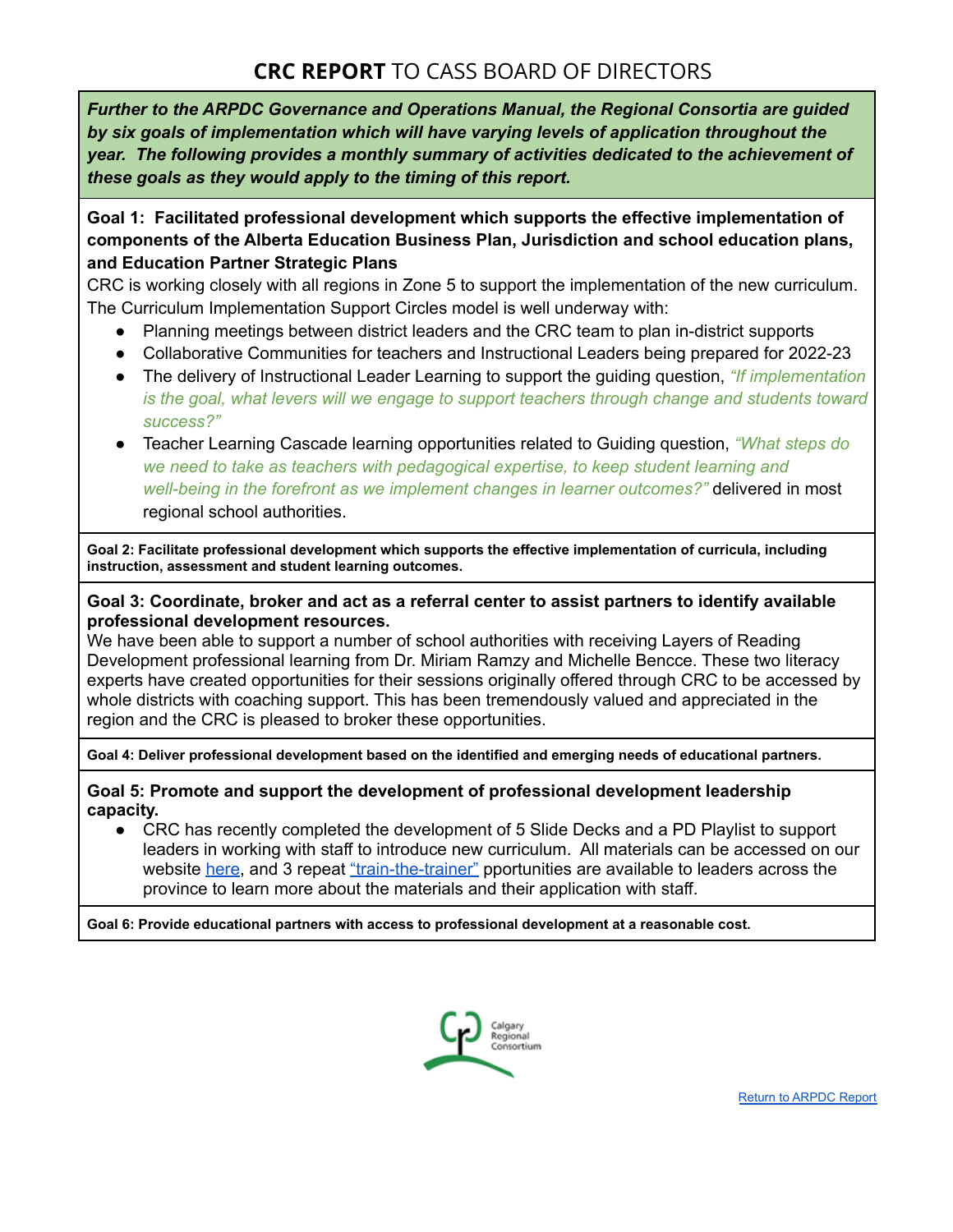# **CRC REPORT** TO CASS BOARD OF DIRECTORS

*Further to the ARPDC Governance and Operations Manual, the Regional Consortia are guided by six goals of implementation which will have varying levels of application throughout the year. The following provides a monthly summary of activities dedicated to the achievement of these goals as they would apply to the timing of this report.*

# **Goal 1: Facilitated professional development which supports the effective implementation of components of the Alberta Education Business Plan, Jurisdiction and school education plans, and Education Partner Strategic Plans**

CRC is working closely with all regions in Zone 5 to support the implementation of the new curriculum. The Curriculum Implementation Support Circles model is well underway with:

- Planning meetings between district leaders and the CRC team to plan in-district supports
- Collaborative Communities for teachers and Instructional Leaders being prepared for 2022-23
- The delivery of Instructional Leader Learning to support the guiding question, *"If implementation is the goal, what levers will we engage to support teachers through change and students toward success?"*
- Teacher Learning Cascade learning opportunities related to Guiding question, *"What steps do we need to take as teachers with pedagogical expertise, to keep student learning and well-being in the forefront as we implement changes in learner outcomes?"* delivered in most regional school authorities.

**Goal 2: Facilitate professional development which supports the effective implementation of curricula, including instruction, assessment and student learning outcomes.**

#### **Goal 3: Coordinate, broker and act as a referral center to assist partners to identify available professional development resources.**

We have been able to support a number of school authorities with receiving Layers of Reading Development professional learning from Dr. Miriam Ramzy and Michelle Bencce. These two literacy experts have created opportunities for their sessions originally offered through CRC to be accessed by whole districts with coaching support. This has been tremendously valued and appreciated in the region and the CRC is pleased to broker these opportunities.

**Goal 4: Deliver professional development based on the identified and emerging needs of educational partners.**

#### **Goal 5: Promote and support the development of professional development leadership capacity.**

• CRC has recently completed the development of 5 Slide Decks and a PD Playlist to support leaders in working with staff to introduce new curriculum. All materials can be accessed on our website [here](https://www.crcpd.ab.ca/curriculum-implementation-supports), and 3 repeat ["train-the-trainer"](https://www.crcpd.ab.ca/program/8695) pportunities are available to leaders across the province to learn more about the materials and their application with staff.

**Goal 6: Provide educational partners with access to professional development at a reasonable cost.**

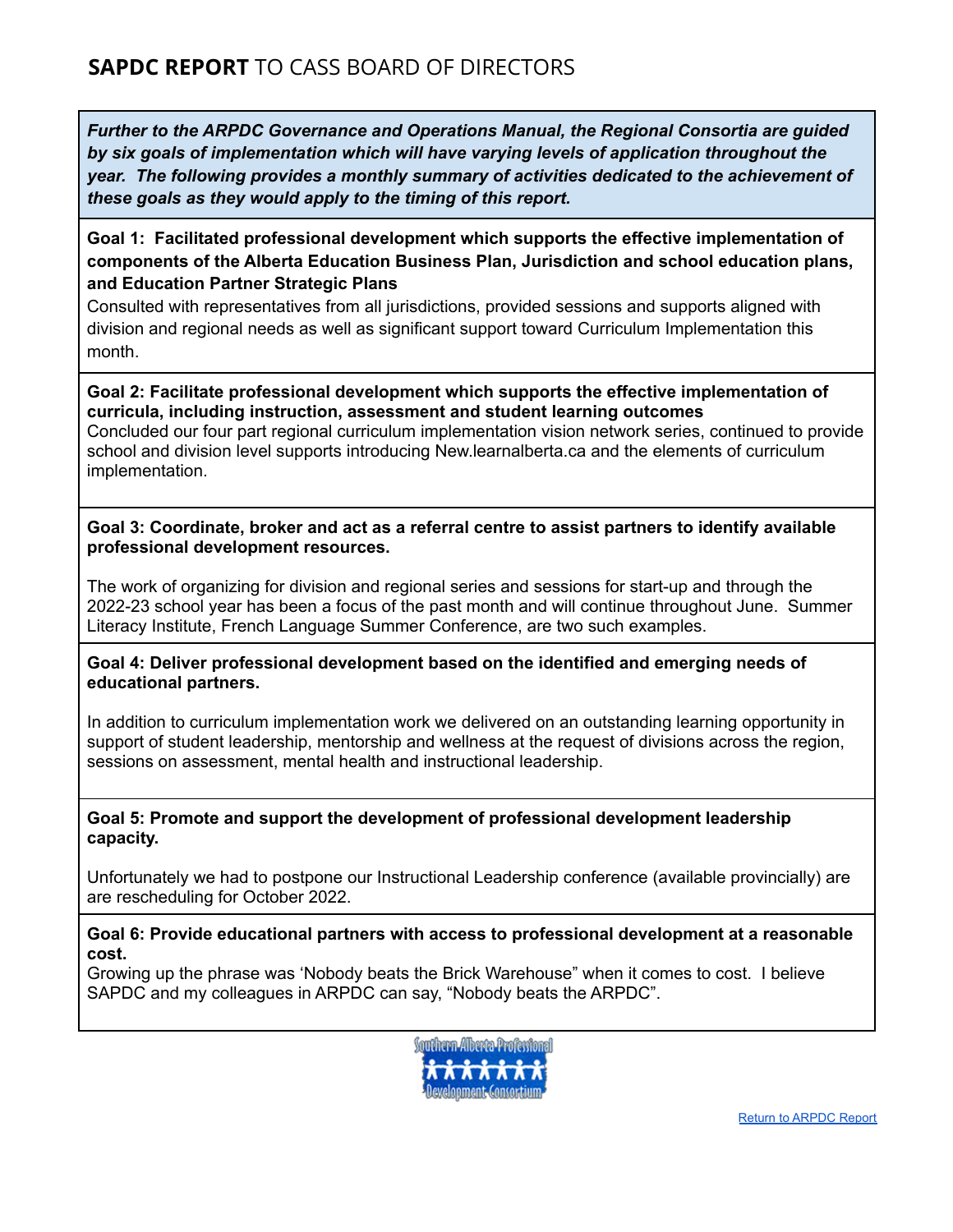**Goal 1: Facilitated professional development which supports the effective implementation of components of the Alberta Education Business Plan, Jurisdiction and school education plans, and Education Partner Strategic Plans**

Consulted with representatives from all jurisdictions, provided sessions and supports aligned with division and regional needs as well as significant support toward Curriculum Implementation this month.

**Goal 2: Facilitate professional development which supports the effective implementation of curricula, including instruction, assessment and student learning outcomes** Concluded our four part regional curriculum implementation vision network series, continued to provide school and division level supports introducing New.learnalberta.ca and the elements of curriculum implementation.

**Goal 3: Coordinate, broker and act as a referral centre to assist partners to identify available professional development resources.**

The work of organizing for division and regional series and sessions for start-up and through the 2022-23 school year has been a focus of the past month and will continue throughout June. Summer Literacy Institute, French Language Summer Conference, are two such examples.

**Goal 4: Deliver professional development based on the identified and emerging needs of educational partners.**

In addition to curriculum implementation work we delivered on an outstanding learning opportunity in support of student leadership, mentorship and wellness at the request of divisions across the region, sessions on assessment, mental health and instructional leadership.

## **Goal 5: Promote and support the development of professional development leadership capacity.**

Unfortunately we had to postpone our Instructional Leadership conference (available provincially) are are rescheduling for October 2022.

#### **Goal 6: Provide educational partners with access to professional development at a reasonable cost.**

Growing up the phrase was 'Nobody beats the Brick Warehouse" when it comes to cost. I believe SAPDC and my colleagues in ARPDC can say, "Nobody beats the ARPDC".